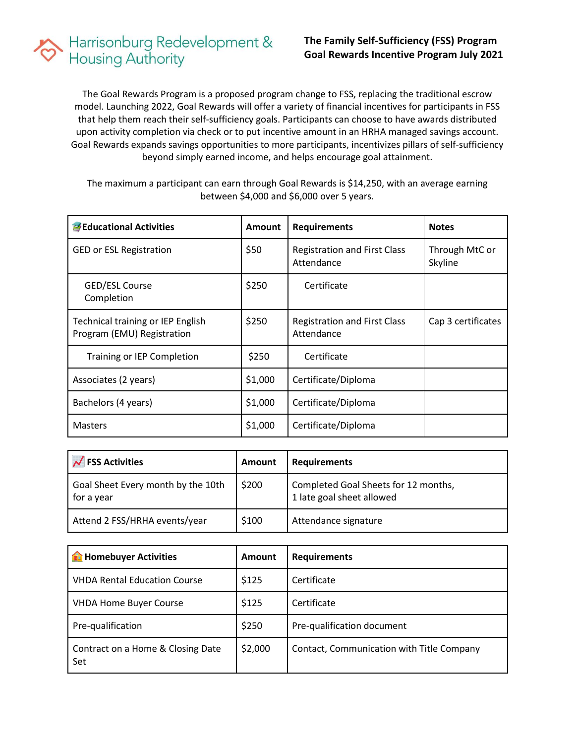## Harrisonburg Redevelopment &<br>Housing Authority

The Goal Rewards Program is a proposed program change to FSS, replacing the traditional escrow model. Launching 2022, Goal Rewards will offer a variety of financial incentives for participants in FSS that help them reach their self-sufficiency goals. Participants can choose to have awards distributed upon activity completion via check or to put incentive amount in an HRHA managed savings account. Goal Rewards expands savings opportunities to more participants, incentivizes pillars of self-sufficiency beyond simply earned income, and helps encourage goal attainment.

The maximum a participant can earn through Goal Rewards is \$14,250, with an average earning between \$4,000 and \$6,000 over 5 years.

| Educational Activities                                          | <b>Amount</b> | <b>Requirements</b>                               | <b>Notes</b>              |
|-----------------------------------------------------------------|---------------|---------------------------------------------------|---------------------------|
| <b>GED or ESL Registration</b>                                  | \$50          | <b>Registration and First Class</b><br>Attendance | Through MtC or<br>Skyline |
| GED/ESL Course<br>Completion                                    | \$250         | Certificate                                       |                           |
| Technical training or IEP English<br>Program (EMU) Registration | \$250         | <b>Registration and First Class</b><br>Attendance | Cap 3 certificates        |
| Training or IEP Completion                                      | \$250         | Certificate                                       |                           |
| Associates (2 years)                                            | \$1,000       | Certificate/Diploma                               |                           |
| Bachelors (4 years)                                             | \$1,000       | Certificate/Diploma                               |                           |
| <b>Masters</b>                                                  | \$1,000       | Certificate/Diploma                               |                           |

| $\overline{\phantom{a}}$ FSS Activities          | Amount | <b>Requirements</b>                                               |
|--------------------------------------------------|--------|-------------------------------------------------------------------|
| Goal Sheet Every month by the 10th<br>for a year | \$200  | Completed Goal Sheets for 12 months,<br>1 late goal sheet allowed |
| Attend 2 FSS/HRHA events/year                    | \$100  | Attendance signature                                              |

| <b>The Homebuyer Activities</b>          | <b>Amount</b> | <b>Requirements</b>                       |
|------------------------------------------|---------------|-------------------------------------------|
| <b>VHDA Rental Education Course</b>      | \$125         | Certificate                               |
| <b>VHDA Home Buyer Course</b>            | \$125         | Certificate                               |
| Pre-qualification                        | \$250         | Pre-qualification document                |
| Contract on a Home & Closing Date<br>Set | \$2,000       | Contact, Communication with Title Company |